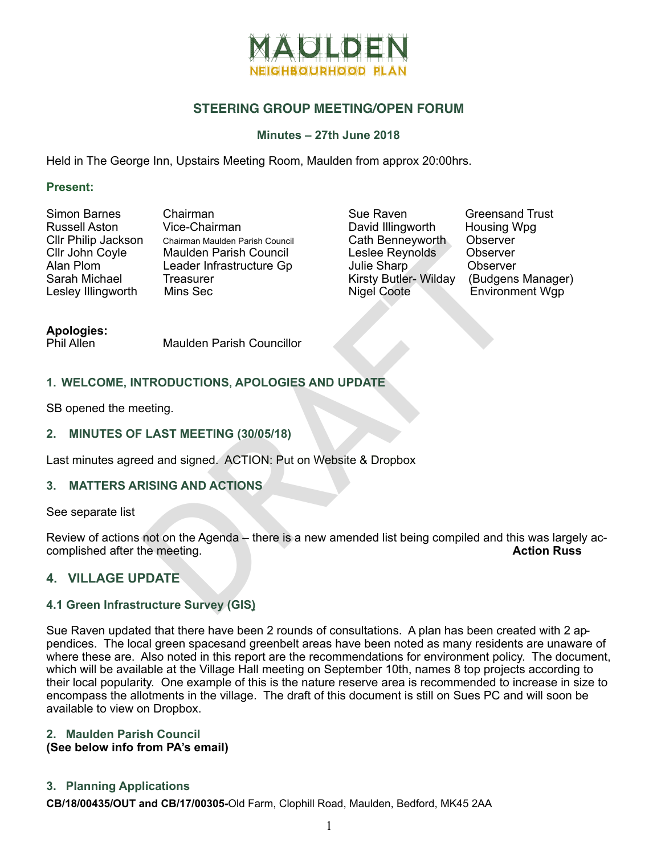

## **STEERING GROUP MEETING/OPEN FORUM**

### **Minutes – 27th June 2018**

Held in The George Inn, Upstairs Meeting Room, Maulden from approx 20:00hrs.

#### **Present:**

| Simon Barnes         |
|----------------------|
| <b>Russell Aston</b> |
| Cllr Philip Jackson  |
| Cllr John Coyle      |
| Alan Plom            |
| Sarah Michael        |
| Lesley Illingworth   |

Chairman Vice-Chairman Chairman Maulden Parish Council Maulden Parish Council Leader Infrastructure Gp **Treasurer** Mins Sec

Sue Raven Greensand Trust<br>David Illingworth Housing Wpg David Illingworth Housing V<br>Cath Benneyworth Observer Cath Benneyworth Observer<br>Leslee Reynolds Observer Leslee Reynolds Julie Sharp<br>
Kirsty Butler- Wilday (Budgens Manager) Kirsty Butler- Wilday<br>Nigel Coote

Environment Wgp

# **Apologies:**

Maulden Parish Councillor

## **1. WELCOME, INTRODUCTIONS, APOLOGIES AND UPDATE**

SB opened the meeting.

#### **2. MINUTES OF LAST MEETING (30/05/18)**

Last minutes agreed and signed. ACTION: Put on Website & Dropbox

## **3. MATTERS ARISING AND ACTIONS**

See separate list

Chaiman Maulden Parish Council<br>
Cath Benneyworth Choserver<br>
Maulden Parish Council<br>
Leslee Reynolds Choserver<br>
Treasurer Kirsty Butler-Wilday (Budgens<br>
Maulden Parish Councillor<br>
Maulden Parish Councillor<br>
Maulden Parish C Review of actions not on the Agenda – there is a new amended list being compiled and this was largely accomplished after the meeting. **Action Russ Action Russ** 

## **4. VILLAGE UPDATE**

#### **4.1 Green Infrastructure Survey (GIS)**

Sue Raven updated that there have been 2 rounds of consultations. A plan has been created with 2 appendices. The local green spacesand greenbelt areas have been noted as many residents are unaware of where these are. Also noted in this report are the recommendations for environment policy. The document, which will be available at the Village Hall meeting on September 10th, names 8 top projects according to their local popularity. One example of this is the nature reserve area is recommended to increase in size to encompass the allotments in the village. The draft of this document is still on Sues PC and will soon be available to view on Dropbox.

#### **2. Maulden Parish Council (See below info from PA's email)**

## **3. Planning Applications**

**CB/18/00435/OUT and CB/17/00305-**Old Farm, Clophill Road, Maulden, Bedford, MK45 2AA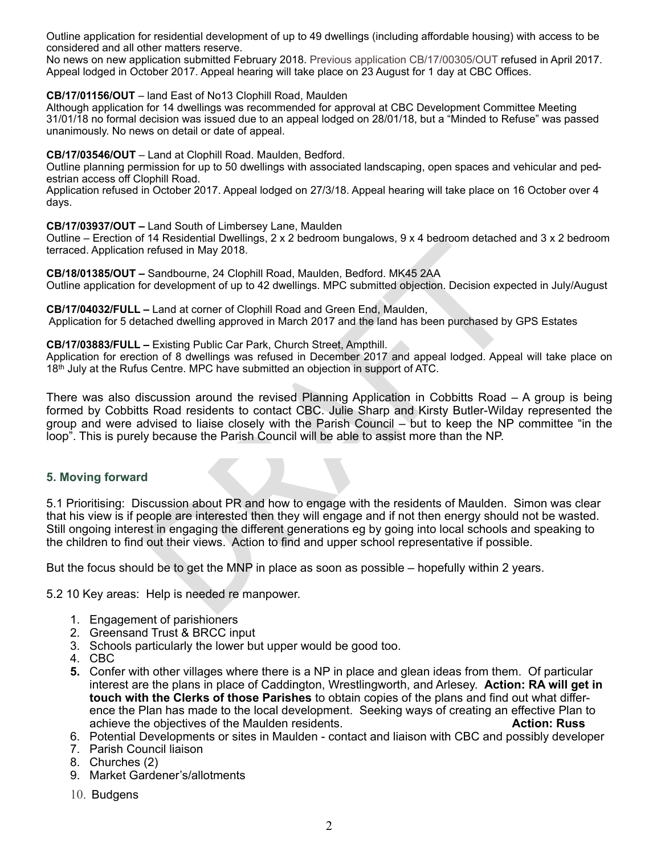Outline application for residential development of up to 49 dwellings (including affordable housing) with access to be considered and all other matters reserve.

No news on new application submitted February 2018. Previous application CB/17/00305/OUT refused in April 2017. Appeal lodged in October 2017. Appeal hearing will take place on 23 August for 1 day at CBC Offices.

#### **CB/17/01156/OUT** – land East of No13 Clophill Road, Maulden

Although application for 14 dwellings was recommended for approval at CBC Development Committee Meeting 31/01/18 no formal decision was issued due to an appeal lodged on 28/01/18, but a "Minded to Refuse" was passed unanimously. No news on detail or date of appeal.

#### **CB/17/03546/OUT** – Land at Clophill Road. Maulden, Bedford.

Outline planning permission for up to 50 dwellings with associated landscaping, open spaces and vehicular and ped estrian access off Clophill Road.

Application refused in October 2017. Appeal lodged on 27/3/18. Appeal hearing will take place on 16 October over 4 days.

#### **CB/17/03937/OUT –** Land South of Limbersey Lane, Maulden

Outline – Erection of 14 Residential Dwellings, 2 x 2 bedroom bungalows, 9 x 4 bedroom detached and 3 x 2 bedroom terraced. Application refused in May 2018.

**CB/18/01385/OUT –** Sandbourne, 24 Clophill Road, Maulden, Bedford. MK45 2AA Outline application for development of up to 42 dwellings. MPC submitted objection. Decision expected in July/August

**CB/17/04032/FULL –** Land at corner of Clophill Road and Green End, Maulden, Application for 5 detached dwelling approved in March 2017 and the land has been purchased by GPS Estates

#### **CB/17/03883/FULL –** Existing Public Car Park, Church Street, Ampthill.

Application for erection of 8 dwellings was refused in December 2017 and appeal lodged. Appeal will take place on 18th July at the Rufus Centre. MPC have submitted an objection in support of ATC.

The resistant Dwellingts, 2 x 2 betroom bungalows, 9 x 4 betroom detached<br>The refused in May 2018.<br>Sandbourne, 24 Clophill Road, Maulden, Bedford. MK45 2AA<br>or development of up to 42 dwellings. MPC submitted objection. Dec There was also discussion around the revised Planning Application in Cobbitts Road – A group is being formed by Cobbitts Road residents to contact CBC. Julie Sharp and Kirsty Butler-Wilday represented the group and were advised to liaise closely with the Parish Council – but to keep the NP committee "in the loop". This is purely because the Parish Council will be able to assist more than the NP.

## **5. Moving forward**

5.1 Prioritising: Discussion about PR and how to engage with the residents of Maulden. Simon was clear that his view is if people are interested then they will engage and if not then energy should not be wasted. Still ongoing interest in engaging the different generations eg by going into local schools and speaking to the children to find out their views. Action to find and upper school representative if possible.

But the focus should be to get the MNP in place as soon as possible – hopefully within 2 years.

5.2 10 Key areas: Help is needed re manpower.

- 1. Engagement of parishioners
- 2. Greensand Trust & BRCC input
- 3. Schools particularly the lower but upper would be good too.
- 4. CBC
- **5.** Confer with other villages where there is a NP in place and glean ideas from them. Of particular interest are the plans in place of Caddington, Wrestlingworth, and Arlesey. **Action: RA will get in touch with the Clerks of those Parishes** to obtain copies of the plans and find out what differ ence the Plan has made to the local development. Seeking ways of creating an effective Plan to achieve the objectives of the Maulden residents. **Action: Russ**
- 6. Potential Developments or sites in Maulden contact and liaison with CBC and possibly developer
- 7. Parish Council liaison
- 8. Churches (2)
- 9. Market Gardener's/allotments
- 10. Budgens